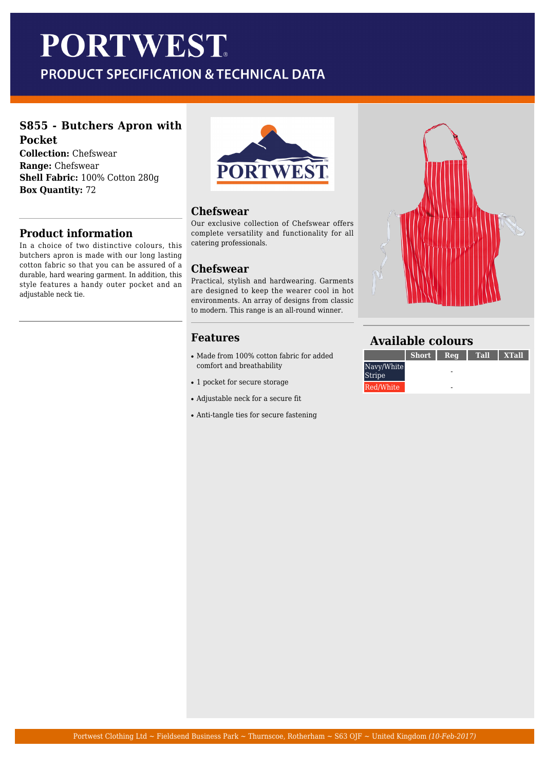# **PORTWEST**

## PRODUCT SPECIFICATION & TECHNICAL DATA

#### **S855 - Butchers Apron with Pocket**

**Collection:** Chefswear **Range:** Chefswear **Shell Fabric:** 100% Cotton 280g **Box Quantity:** 72

### **Product information**

In a choice of two distinctive colours, this butchers apron is made with our long lasting cotton fabric so that you can be assured of a durable, hard wearing garment. In addition, this style features a handy outer pocket and an adjustable neck tie.



#### **Chefswear**

Our exclusive collection of Chefswear offers complete versatility and functionality for all catering professionals.

#### **Chefswear**

Practical, stylish and hardwearing. Garments are designed to keep the wearer cool in hot environments. An array of designs from classic to modern. This range is an all-round winner.

#### **Features**

- Made from 100% cotton fabric for added comfort and breathability
- 1 pocket for secure storage
- Adjustable neck for a secure fit
- Anti-tangle ties for secure fastening



#### **Available colours**

|                             | <b>Short</b> I | Req | <b>Tall</b> | ⊦ XTall |
|-----------------------------|----------------|-----|-------------|---------|
| Navy/White<br><b>Stripe</b> |                |     |             |         |
| Red/White                   |                |     |             |         |